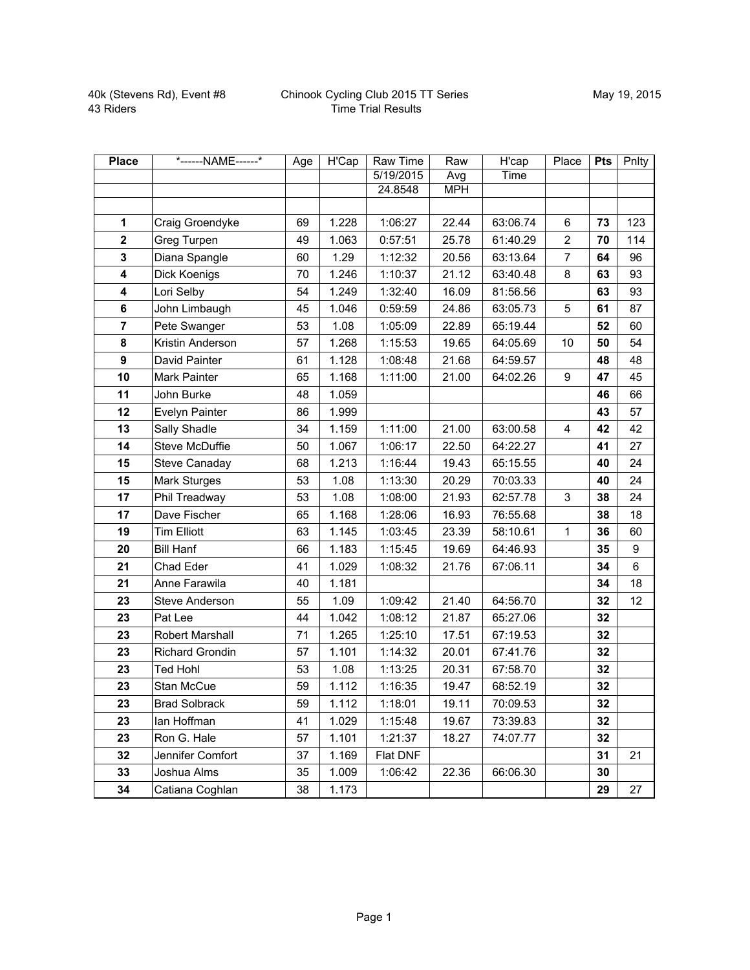## Chinook Cycling Club 2015 TT Series Time Trial Results

| <b>Place</b>   | *------NAME------*     | Age | H'Cap | <b>Raw Time</b> | Raw        | H'cap    | Place          | <b>Pts</b> | Pnlty |
|----------------|------------------------|-----|-------|-----------------|------------|----------|----------------|------------|-------|
|                |                        |     |       | 5/19/2015       | Avg        | Time     |                |            |       |
|                |                        |     |       | 24.8548         | <b>MPH</b> |          |                |            |       |
|                |                        |     |       |                 |            |          |                |            |       |
| 1              | Craig Groendyke        | 69  | 1.228 | 1:06:27         | 22.44      | 63:06.74 | 6              | 73         | 123   |
| $\mathbf{2}$   | Greg Turpen            | 49  | 1.063 | 0:57:51         | 25.78      | 61:40.29 | $\overline{c}$ | 70         | 114   |
| 3              | Diana Spangle          | 60  | 1.29  | 1:12:32         | 20.56      | 63:13.64 | $\overline{7}$ | 64         | 96    |
| 4              | Dick Koenigs           | 70  | 1.246 | 1:10:37         | 21.12      | 63:40.48 | 8              | 63         | 93    |
| 4              | Lori Selby             | 54  | 1.249 | 1:32:40         | 16.09      | 81:56.56 |                | 63         | 93    |
| 6              | John Limbaugh          | 45  | 1.046 | 0:59:59         | 24.86      | 63:05.73 | 5              | 61         | 87    |
| $\overline{7}$ | Pete Swanger           | 53  | 1.08  | 1:05:09         | 22.89      | 65:19.44 |                | 52         | 60    |
| 8              | Kristin Anderson       | 57  | 1.268 | 1:15:53         | 19.65      | 64:05.69 | 10             | 50         | 54    |
| 9              | David Painter          | 61  | 1.128 | 1:08:48         | 21.68      | 64:59.57 |                | 48         | 48    |
| 10             | Mark Painter           | 65  | 1.168 | 1:11:00         | 21.00      | 64:02.26 | 9              | 47         | 45    |
| 11             | John Burke             | 48  | 1.059 |                 |            |          |                | 46         | 66    |
| 12             | Evelyn Painter         | 86  | 1.999 |                 |            |          |                | 43         | 57    |
| 13             | Sally Shadle           | 34  | 1.159 | 1:11:00         | 21.00      | 63:00.58 | 4              | 42         | 42    |
| 14             | <b>Steve McDuffie</b>  | 50  | 1.067 | 1:06:17         | 22.50      | 64:22.27 |                | 41         | 27    |
| 15             | Steve Canaday          | 68  | 1.213 | 1:16:44         | 19.43      | 65:15.55 |                | 40         | 24    |
| 15             | Mark Sturges           | 53  | 1.08  | 1:13:30         | 20.29      | 70:03.33 |                | 40         | 24    |
| 17             | Phil Treadway          | 53  | 1.08  | 1:08:00         | 21.93      | 62:57.78 | 3              | 38         | 24    |
| 17             | Dave Fischer           | 65  | 1.168 | 1:28:06         | 16.93      | 76:55.68 |                | 38         | 18    |
| 19             | <b>Tim Elliott</b>     | 63  | 1.145 | 1:03:45         | 23.39      | 58:10.61 | $\mathbf{1}$   | 36         | 60    |
| 20             | <b>Bill Hanf</b>       | 66  | 1.183 | 1:15:45         | 19.69      | 64:46.93 |                | 35         | 9     |
| 21             | Chad Eder              | 41  | 1.029 | 1:08:32         | 21.76      | 67:06.11 |                | 34         | 6     |
| 21             | Anne Farawila          | 40  | 1.181 |                 |            |          |                | 34         | 18    |
| 23             | Steve Anderson         | 55  | 1.09  | 1:09:42         | 21.40      | 64:56.70 |                | 32         | 12    |
| 23             | Pat Lee                | 44  | 1.042 | 1:08:12         | 21.87      | 65:27.06 |                | 32         |       |
| 23             | Robert Marshall        | 71  | 1.265 | 1:25:10         | 17.51      | 67:19.53 |                | 32         |       |
| 23             | <b>Richard Grondin</b> | 57  | 1.101 | 1:14:32         | 20.01      | 67:41.76 |                | 32         |       |
| 23             | <b>Ted Hohl</b>        | 53  | 1.08  | 1:13:25         | 20.31      | 67:58.70 |                | 32         |       |
| 23             | Stan McCue             | 59  | 1.112 | 1:16:35         | 19.47      | 68:52.19 |                | 32         |       |
| 23             | <b>Brad Solbrack</b>   | 59  | 1.112 | 1:18:01         | 19.11      | 70:09.53 |                | 32         |       |
| 23             | lan Hoffman            | 41  | 1.029 | 1:15:48         | 19.67      | 73:39.83 |                | 32         |       |
| 23             | Ron G. Hale            | 57  | 1.101 | 1:21:37         | 18.27      | 74:07.77 |                | 32         |       |
| 32             | Jennifer Comfort       | 37  | 1.169 | Flat DNF        |            |          |                | 31         | 21    |
| 33             | Joshua Alms            | 35  | 1.009 | 1:06:42         | 22.36      | 66:06.30 |                | 30         |       |
| 34             | Catiana Coghlan        | 38  | 1.173 |                 |            |          |                | 29         | 27    |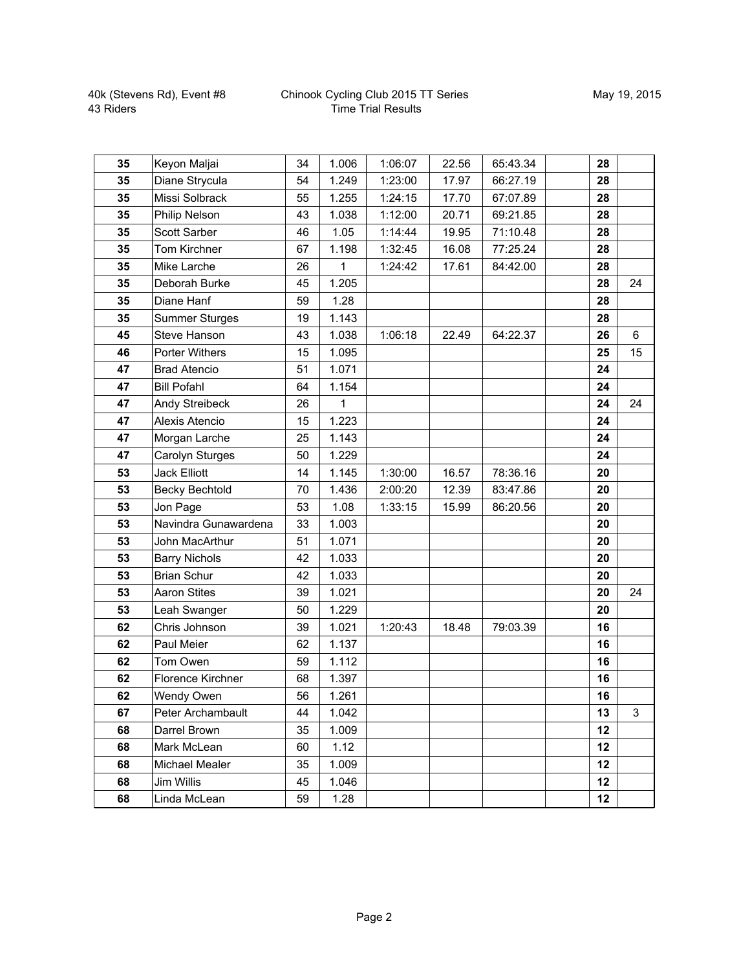## Chinook Cycling Club 2015 TT Series Time Trial Results

| 35 | Keyon Maljai          | 34 | 1.006        | 1:06:07 | 22.56 | 65:43.34 | 28 |    |
|----|-----------------------|----|--------------|---------|-------|----------|----|----|
| 35 | Diane Strycula        | 54 | 1.249        | 1:23:00 | 17.97 | 66:27.19 | 28 |    |
| 35 | Missi Solbrack        | 55 | 1.255        | 1:24:15 | 17.70 | 67:07.89 | 28 |    |
| 35 | Philip Nelson         | 43 | 1.038        | 1:12:00 | 20.71 | 69:21.85 | 28 |    |
| 35 | Scott Sarber          | 46 | 1.05         | 1:14:44 | 19.95 | 71:10.48 | 28 |    |
| 35 | Tom Kirchner          | 67 | 1.198        | 1:32:45 | 16.08 | 77:25.24 | 28 |    |
| 35 | Mike Larche           | 26 | $\mathbf{1}$ | 1:24:42 | 17.61 | 84:42.00 | 28 |    |
| 35 | Deborah Burke         | 45 | 1.205        |         |       |          | 28 | 24 |
| 35 | Diane Hanf            | 59 | 1.28         |         |       |          | 28 |    |
| 35 | <b>Summer Sturges</b> | 19 | 1.143        |         |       |          | 28 |    |
| 45 | <b>Steve Hanson</b>   | 43 | 1.038        | 1:06:18 | 22.49 | 64:22.37 | 26 | 6  |
| 46 | <b>Porter Withers</b> | 15 | 1.095        |         |       |          | 25 | 15 |
| 47 | <b>Brad Atencio</b>   | 51 | 1.071        |         |       |          | 24 |    |
| 47 | <b>Bill Pofahl</b>    | 64 | 1.154        |         |       |          | 24 |    |
| 47 | Andy Streibeck        | 26 | $\mathbf 1$  |         |       |          | 24 | 24 |
| 47 | Alexis Atencio        | 15 | 1.223        |         |       |          | 24 |    |
| 47 | Morgan Larche         | 25 | 1.143        |         |       |          | 24 |    |
| 47 | Carolyn Sturges       | 50 | 1.229        |         |       |          | 24 |    |
| 53 | <b>Jack Elliott</b>   | 14 | 1.145        | 1:30:00 | 16.57 | 78:36.16 | 20 |    |
| 53 | <b>Becky Bechtold</b> | 70 | 1.436        | 2:00:20 | 12.39 | 83:47.86 | 20 |    |
| 53 | Jon Page              | 53 | 1.08         | 1:33:15 | 15.99 | 86:20.56 | 20 |    |
| 53 | Navindra Gunawardena  | 33 | 1.003        |         |       |          | 20 |    |
| 53 | John MacArthur        | 51 | 1.071        |         |       |          | 20 |    |
| 53 | <b>Barry Nichols</b>  | 42 | 1.033        |         |       |          | 20 |    |
| 53 | <b>Brian Schur</b>    | 42 | 1.033        |         |       |          | 20 |    |
| 53 | <b>Aaron Stites</b>   | 39 | 1.021        |         |       |          | 20 | 24 |
| 53 | Leah Swanger          | 50 | 1.229        |         |       |          | 20 |    |
| 62 | Chris Johnson         | 39 | 1.021        | 1:20:43 | 18.48 | 79:03.39 | 16 |    |
| 62 | Paul Meier            | 62 | 1.137        |         |       |          | 16 |    |
| 62 | Tom Owen              | 59 | 1.112        |         |       |          | 16 |    |
| 62 | Florence Kirchner     | 68 | 1.397        |         |       |          | 16 |    |
| 62 | Wendy Owen            | 56 | 1.261        |         |       |          | 16 |    |
| 67 | Peter Archambault     | 44 | 1.042        |         |       |          | 13 | 3  |
| 68 | Darrel Brown          | 35 | 1.009        |         |       |          | 12 |    |
| 68 | Mark McLean           | 60 | 1.12         |         |       |          | 12 |    |
| 68 | Michael Mealer        | 35 | 1.009        |         |       |          | 12 |    |
| 68 | Jim Willis            | 45 | 1.046        |         |       |          | 12 |    |
| 68 | Linda McLean          | 59 | 1.28         |         |       |          | 12 |    |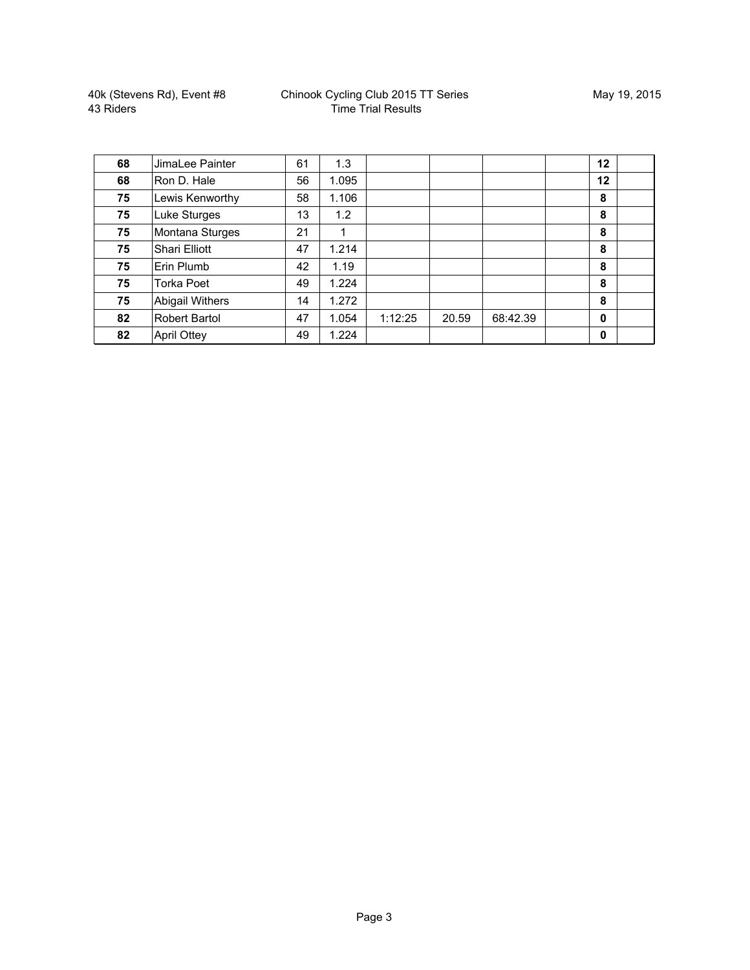| 68 | JimaLee Painter        | 61 | 1.3   |         |       |          | 12          |  |
|----|------------------------|----|-------|---------|-------|----------|-------------|--|
| 68 | Ron D. Hale            | 56 | 1.095 |         |       |          | 12          |  |
| 75 | Lewis Kenworthy        | 58 | 1.106 |         |       |          | 8           |  |
| 75 | Luke Sturges           | 13 | 1.2   |         |       |          | 8           |  |
| 75 | Montana Sturges        | 21 | 1     |         |       |          | 8           |  |
| 75 | Shari Elliott          | 47 | 1.214 |         |       |          | 8           |  |
| 75 | Erin Plumb             | 42 | 1.19  |         |       |          | 8           |  |
| 75 | Torka Poet             | 49 | 1.224 |         |       |          | 8           |  |
| 75 | <b>Abigail Withers</b> | 14 | 1.272 |         |       |          | 8           |  |
| 82 | Robert Bartol          | 47 | 1.054 | 1:12:25 | 20.59 | 68:42.39 | $\mathbf 0$ |  |
| 82 | <b>April Ottey</b>     | 49 | 1.224 |         |       |          | $\mathbf 0$ |  |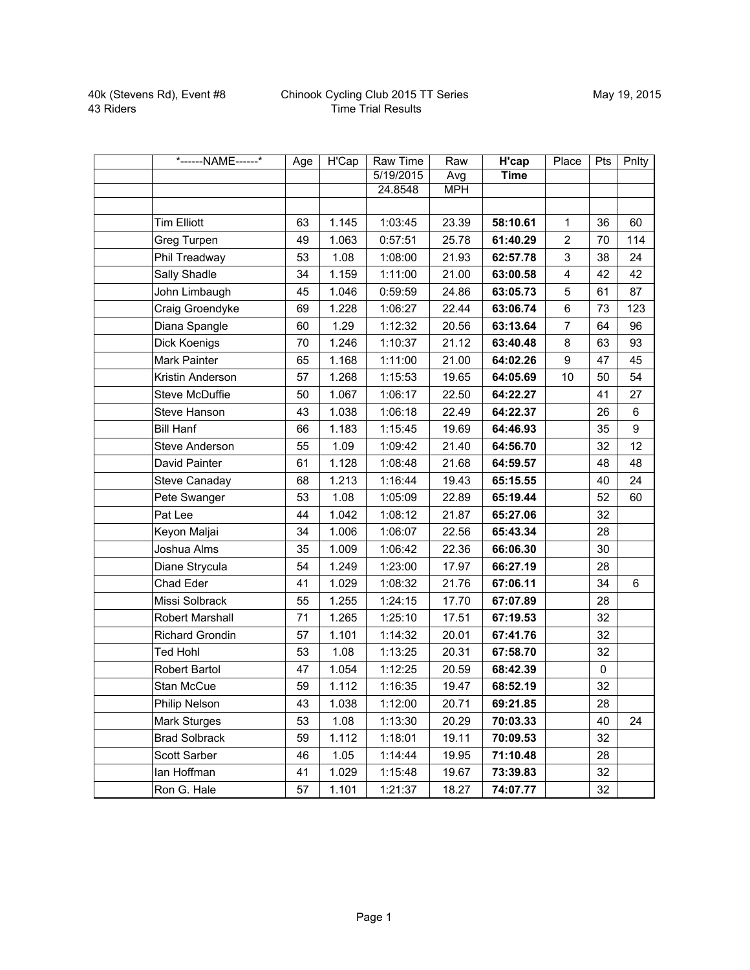| *------NAME------*     | Age | <b>H'Cap</b> | Raw Time  | Raw        | <b>H'cap</b> | Place                   | Pts         | Pnlty |
|------------------------|-----|--------------|-----------|------------|--------------|-------------------------|-------------|-------|
|                        |     |              | 5/19/2015 | Avg        | <b>Time</b>  |                         |             |       |
|                        |     |              | 24.8548   | <b>MPH</b> |              |                         |             |       |
|                        |     |              |           |            |              |                         |             |       |
| <b>Tim Elliott</b>     | 63  | 1.145        | 1:03:45   | 23.39      | 58:10.61     | $\mathbf{1}$            | 36          | 60    |
| Greg Turpen            | 49  | 1.063        | 0:57:51   | 25.78      | 61:40.29     | $\overline{2}$          | 70          | 114   |
| Phil Treadway          | 53  | 1.08         | 1:08:00   | 21.93      | 62:57.78     | 3                       | 38          | 24    |
| Sally Shadle           | 34  | 1.159        | 1:11:00   | 21.00      | 63:00.58     | $\overline{\mathbf{4}}$ | 42          | 42    |
| John Limbaugh          | 45  | 1.046        | 0:59:59   | 24.86      | 63:05.73     | 5                       | 61          | 87    |
| Craig Groendyke        | 69  | 1.228        | 1:06:27   | 22.44      | 63:06.74     | 6                       | 73          | 123   |
| Diana Spangle          | 60  | 1.29         | 1:12:32   | 20.56      | 63:13.64     | $\overline{7}$          | 64          | 96    |
| Dick Koenigs           | 70  | 1.246        | 1:10:37   | 21.12      | 63:40.48     | 8                       | 63          | 93    |
| Mark Painter           | 65  | 1.168        | 1:11:00   | 21.00      | 64:02.26     | 9                       | 47          | 45    |
| Kristin Anderson       | 57  | 1.268        | 1:15:53   | 19.65      | 64:05.69     | 10                      | 50          | 54    |
| <b>Steve McDuffie</b>  | 50  | 1.067        | 1:06:17   | 22.50      | 64:22.27     |                         | 41          | 27    |
| Steve Hanson           | 43  | 1.038        | 1:06:18   | 22.49      | 64:22.37     |                         | 26          | 6     |
| <b>Bill Hanf</b>       | 66  | 1.183        | 1:15:45   | 19.69      | 64:46.93     |                         | 35          | 9     |
| <b>Steve Anderson</b>  | 55  | 1.09         | 1:09:42   | 21.40      | 64:56.70     |                         | 32          | 12    |
| David Painter          | 61  | 1.128        | 1:08:48   | 21.68      | 64:59.57     |                         | 48          | 48    |
| Steve Canaday          | 68  | 1.213        | 1:16:44   | 19.43      | 65:15.55     |                         | 40          | 24    |
| Pete Swanger           | 53  | 1.08         | 1:05:09   | 22.89      | 65:19.44     |                         | 52          | 60    |
| Pat Lee                | 44  | 1.042        | 1:08:12   | 21.87      | 65:27.06     |                         | 32          |       |
| Keyon Maljai           | 34  | 1.006        | 1:06:07   | 22.56      | 65:43.34     |                         | 28          |       |
| Joshua Alms            | 35  | 1.009        | 1:06:42   | 22.36      | 66:06.30     |                         | 30          |       |
| Diane Strycula         | 54  | 1.249        | 1:23:00   | 17.97      | 66:27.19     |                         | 28          |       |
| Chad Eder              | 41  | 1.029        | 1:08:32   | 21.76      | 67:06.11     |                         | 34          | 6     |
| Missi Solbrack         | 55  | 1.255        | 1:24:15   | 17.70      | 67:07.89     |                         | 28          |       |
| Robert Marshall        | 71  | 1.265        | 1:25:10   | 17.51      | 67:19.53     |                         | 32          |       |
| <b>Richard Grondin</b> | 57  | 1.101        | 1:14:32   | 20.01      | 67:41.76     |                         | 32          |       |
| <b>Ted Hohl</b>        | 53  | 1.08         | 1:13:25   | 20.31      | 67:58.70     |                         | 32          |       |
| Robert Bartol          | 47  | 1.054        | 1:12:25   | 20.59      | 68:42.39     |                         | $\mathbf 0$ |       |
| Stan McCue             | 59  | 1.112        | 1:16:35   | 19.47      | 68:52.19     |                         | 32          |       |
| Philip Nelson          | 43  | 1.038        | 1:12:00   | 20.71      | 69:21.85     |                         | 28          |       |
| Mark Sturges           | 53  | 1.08         | 1:13:30   | 20.29      | 70:03.33     |                         | 40          | 24    |
| <b>Brad Solbrack</b>   | 59  | 1.112        | 1:18:01   | 19.11      | 70:09.53     |                         | 32          |       |
| Scott Sarber           | 46  | 1.05         | 1:14:44   | 19.95      | 71:10.48     |                         | 28          |       |
| lan Hoffman            | 41  | 1.029        | 1:15:48   | 19.67      | 73:39.83     |                         | 32          |       |
| Ron G. Hale            | 57  | 1.101        | 1:21:37   | 18.27      | 74:07.77     |                         | 32          |       |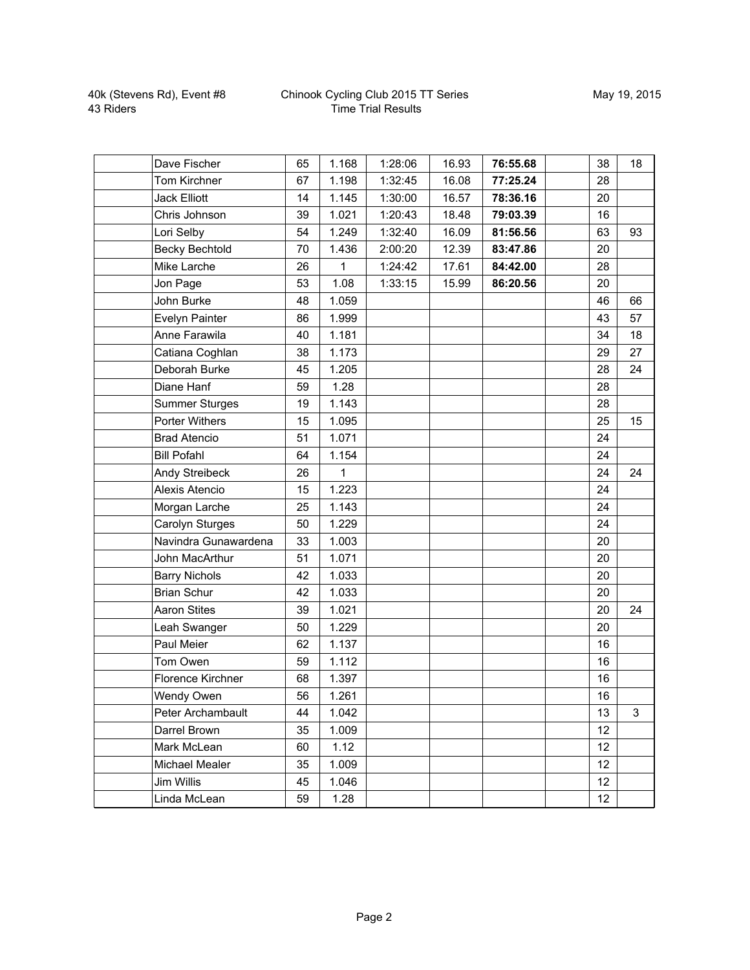## Chinook Cycling Club 2015 TT Series Time Trial Results

| Dave Fischer          | 65 | 1.168 | 1:28:06 | 16.93 | 76:55.68 | 38 | 18 |
|-----------------------|----|-------|---------|-------|----------|----|----|
| Tom Kirchner          | 67 | 1.198 | 1:32:45 | 16.08 | 77:25.24 | 28 |    |
| <b>Jack Elliott</b>   | 14 | 1.145 | 1:30:00 | 16.57 | 78:36.16 | 20 |    |
| Chris Johnson         | 39 | 1.021 | 1:20:43 | 18.48 | 79:03.39 | 16 |    |
| Lori Selby            | 54 | 1.249 | 1:32:40 | 16.09 | 81:56.56 | 63 | 93 |
| <b>Becky Bechtold</b> | 70 | 1.436 | 2:00:20 | 12.39 | 83:47.86 | 20 |    |
| Mike Larche           | 26 | 1     | 1:24:42 | 17.61 | 84:42.00 | 28 |    |
| Jon Page              | 53 | 1.08  | 1:33:15 | 15.99 | 86:20.56 | 20 |    |
| John Burke            | 48 | 1.059 |         |       |          | 46 | 66 |
| Evelyn Painter        | 86 | 1.999 |         |       |          | 43 | 57 |
| Anne Farawila         | 40 | 1.181 |         |       |          | 34 | 18 |
| Catiana Coghlan       | 38 | 1.173 |         |       |          | 29 | 27 |
| Deborah Burke         | 45 | 1.205 |         |       |          | 28 | 24 |
| Diane Hanf            | 59 | 1.28  |         |       |          | 28 |    |
| <b>Summer Sturges</b> | 19 | 1.143 |         |       |          | 28 |    |
| <b>Porter Withers</b> | 15 | 1.095 |         |       |          | 25 | 15 |
| <b>Brad Atencio</b>   | 51 | 1.071 |         |       |          | 24 |    |
| <b>Bill Pofahl</b>    | 64 | 1.154 |         |       |          | 24 |    |
| Andy Streibeck        | 26 | 1     |         |       |          | 24 | 24 |
| Alexis Atencio        | 15 | 1.223 |         |       |          | 24 |    |
| Morgan Larche         | 25 | 1.143 |         |       |          | 24 |    |
| Carolyn Sturges       | 50 | 1.229 |         |       |          | 24 |    |
| Navindra Gunawardena  | 33 | 1.003 |         |       |          | 20 |    |
| John MacArthur        | 51 | 1.071 |         |       |          | 20 |    |
| <b>Barry Nichols</b>  | 42 | 1.033 |         |       |          | 20 |    |
| <b>Brian Schur</b>    | 42 | 1.033 |         |       |          | 20 |    |
| <b>Aaron Stites</b>   | 39 | 1.021 |         |       |          | 20 | 24 |
| Leah Swanger          | 50 | 1.229 |         |       |          | 20 |    |
| Paul Meier            | 62 | 1.137 |         |       |          | 16 |    |
| Tom Owen              | 59 | 1.112 |         |       |          | 16 |    |
| Florence Kirchner     | 68 | 1.397 |         |       |          | 16 |    |
| Wendy Owen            | 56 | 1.261 |         |       |          | 16 |    |
| Peter Archambault     | 44 | 1.042 |         |       |          | 13 | 3  |
| Darrel Brown          | 35 | 1.009 |         |       |          | 12 |    |
| Mark McLean           | 60 | 1.12  |         |       |          | 12 |    |
| Michael Mealer        | 35 | 1.009 |         |       |          | 12 |    |
| Jim Willis            | 45 | 1.046 |         |       |          | 12 |    |
| Linda McLean          | 59 | 1.28  |         |       |          | 12 |    |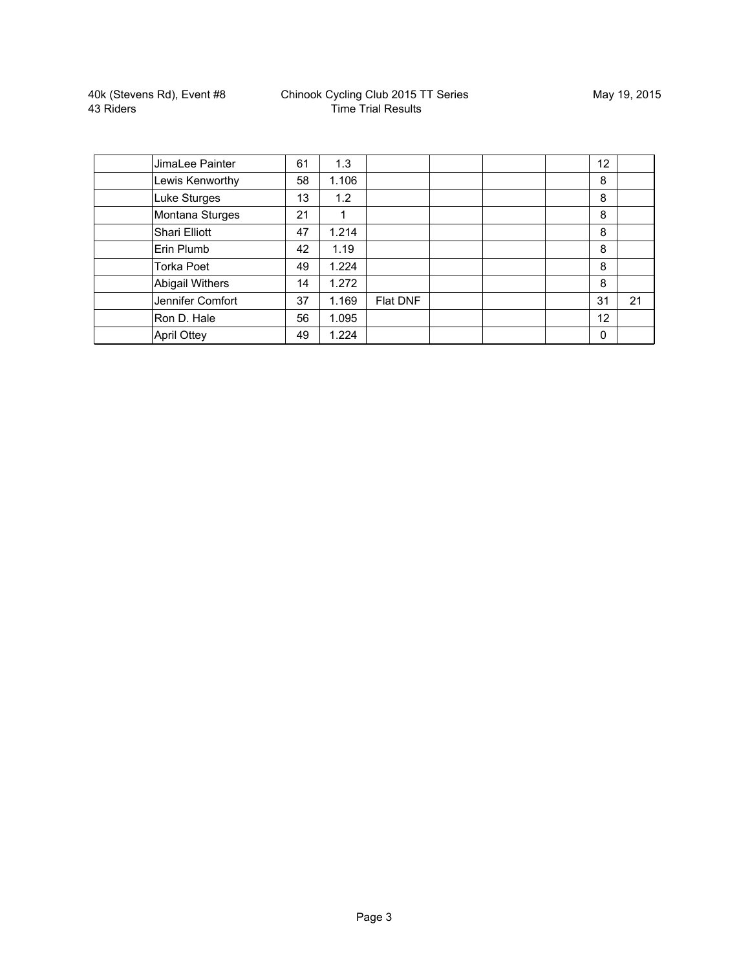| JimaLee Painter        | 61 | 1.3   |          |  | 12 |    |
|------------------------|----|-------|----------|--|----|----|
| Lewis Kenworthy        | 58 | 1.106 |          |  | 8  |    |
| Luke Sturges           | 13 | 1.2   |          |  | 8  |    |
| Montana Sturges        | 21 |       |          |  | 8  |    |
| Shari Elliott          | 47 | 1.214 |          |  | 8  |    |
| Erin Plumb             | 42 | 1.19  |          |  | 8  |    |
| <b>Torka Poet</b>      | 49 | 1.224 |          |  | 8  |    |
| <b>Abigail Withers</b> | 14 | 1.272 |          |  | 8  |    |
| Jennifer Comfort       | 37 | 1.169 | Flat DNF |  | 31 | 21 |
| Ron D. Hale            | 56 | 1.095 |          |  | 12 |    |
| <b>April Ottey</b>     | 49 | 1.224 |          |  | 0  |    |